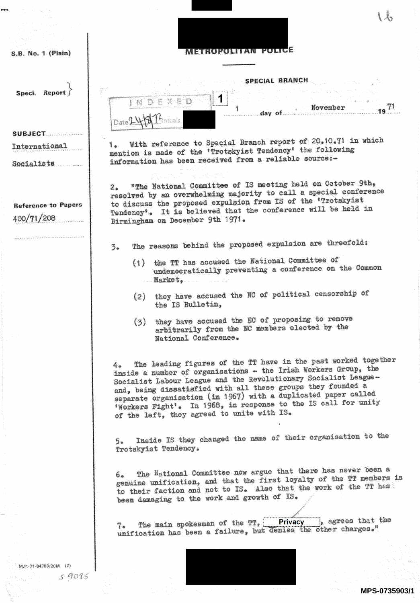| cato |                                          |                                                                                                                                                                                                                                                                                                                                                                                                                                                              |
|------|------------------------------------------|--------------------------------------------------------------------------------------------------------------------------------------------------------------------------------------------------------------------------------------------------------------------------------------------------------------------------------------------------------------------------------------------------------------------------------------------------------------|
|      |                                          |                                                                                                                                                                                                                                                                                                                                                                                                                                                              |
|      |                                          |                                                                                                                                                                                                                                                                                                                                                                                                                                                              |
|      | S.B. No. 1 (Plain)                       |                                                                                                                                                                                                                                                                                                                                                                                                                                                              |
|      |                                          |                                                                                                                                                                                                                                                                                                                                                                                                                                                              |
|      | Speci. Report                            | SPECIAL BRANCH<br>승리 이번<br>EXED<br>November<br>$\sim$ day of $\sim$ .                                                                                                                                                                                                                                                                                                                                                                                        |
|      |                                          |                                                                                                                                                                                                                                                                                                                                                                                                                                                              |
|      | <b>SUBJECT</b>                           | į,                                                                                                                                                                                                                                                                                                                                                                                                                                                           |
|      | International                            | With reference to Special Branch report of 20.10.71 in which<br>1.<br>mention is made of the 'Trotskyist Tendency' the following                                                                                                                                                                                                                                                                                                                             |
|      | Socialists                               | information has been received from a reliable source:-                                                                                                                                                                                                                                                                                                                                                                                                       |
|      |                                          |                                                                                                                                                                                                                                                                                                                                                                                                                                                              |
|      | <b>Reference to Papers</b><br>400/71/208 | 2. "The National Committee of IS meeting held on October 9th,<br>resolved by an overwhelming majority to call a special conference<br>to discuss the proposed expulsion from IS of the 'Trotskyist<br>Tendency'. It is believed that the conference will be held in<br>Birmingham on December 9th 1971.                                                                                                                                                      |
|      |                                          | The reasons behind the proposed expulsion are threefold:<br>$\mathbb{Z}$ .                                                                                                                                                                                                                                                                                                                                                                                   |
|      |                                          | (1) the TT has accused the National Committee of<br>undemocratically preventing a conference on the Common<br>Market. Market                                                                                                                                                                                                                                                                                                                                 |
|      |                                          | they have accused the NC of political censorship of<br>(2)<br>the IS Bulletin,                                                                                                                                                                                                                                                                                                                                                                               |
|      |                                          | (3) they have accused the EC of proposing to remove<br>arbitrarily from the NC members elected by the<br>National Conference.                                                                                                                                                                                                                                                                                                                                |
|      |                                          | The leading figures of the TT have in the past worked together<br>4.<br>inside a number of organisations - the Irish Workers Group, the<br>Socialist Labour League and the Revolutionary Socialist League-<br>and, being dissatisfied with all these groups they founded a<br>separate organisation (in 1967) with a duplicated paper called<br>'Workers Fight'. In 1968, in response to the IS call for unity<br>of the left, they agreed to unite with IS. |
|      |                                          | Inside IS they changed the name of their organisation to the<br>$\overline{2}$<br>Trotskyist Tendency.                                                                                                                                                                                                                                                                                                                                                       |
|      |                                          | 6. The National Committee now argue that there has never been a<br>genuine unification, and that the first loyalty of the TT members is<br>to their faction and not to IS. Also that the work of the TT has<br>been damaging to the work and growth of IS.                                                                                                                                                                                                   |
|      |                                          | 7. The main spokesman of the $TT$ , Privacy , agrees that the<br>unification has been a failure, but denies the other charges."                                                                                                                                                                                                                                                                                                                              |
|      | M.P.-71-84783/20M (2)                    |                                                                                                                                                                                                                                                                                                                                                                                                                                                              |
|      | 59085                                    |                                                                                                                                                                                                                                                                                                                                                                                                                                                              |
|      |                                          | $\sim 100$ and $\sim 100$<br>MPS-0735903/1                                                                                                                                                                                                                                                                                                                                                                                                                   |
|      |                                          |                                                                                                                                                                                                                                                                                                                                                                                                                                                              |